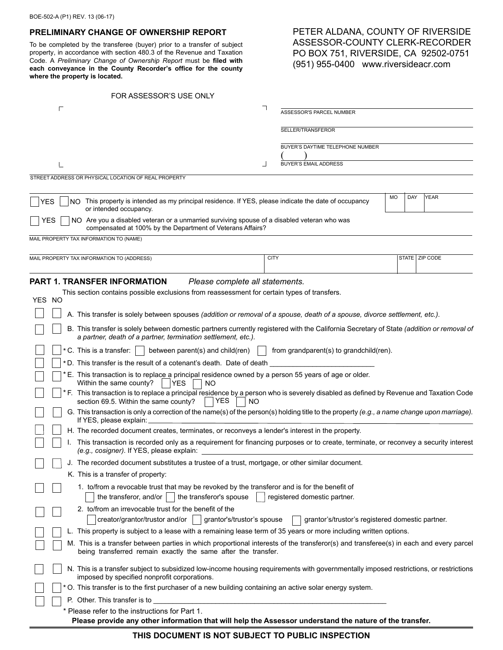## **PRELIMINARY CHANGE OF OWNERSHIP REPORT**

To be completed by the transferee (buyer) prior to a transfer of subject property, in accordance with section 480.3 of the Revenue and Taxation Code. A *Preliminary Change of Ownership Report* must be **filed with each conveyance in the County Recorder's office for the county where the property is located.**

# PETER ALDANA, COUNTY OF RIVERSIDE ASSESSOR-COUNTY CLERK-RECORDER PO BOX 751, RIVERSIDE, CA 92502-0751 (951) 955-0400 www.riversideacr.com

| FOR ASSESSOR'S USE ONLY                                                                                                                                                                              |                                                                                                                                          |  |
|------------------------------------------------------------------------------------------------------------------------------------------------------------------------------------------------------|------------------------------------------------------------------------------------------------------------------------------------------|--|
|                                                                                                                                                                                                      | ASSESSOR'S PARCEL NUMBER                                                                                                                 |  |
|                                                                                                                                                                                                      | SELLER/TRANSFEROR                                                                                                                        |  |
|                                                                                                                                                                                                      |                                                                                                                                          |  |
|                                                                                                                                                                                                      | BUYER'S DAYTIME TELEPHONE NUMBER                                                                                                         |  |
|                                                                                                                                                                                                      | <b>BUYER'S EMAIL ADDRESS</b>                                                                                                             |  |
| STREET ADDRESS OR PHYSICAL LOCATION OF REAL PROPERTY                                                                                                                                                 |                                                                                                                                          |  |
|                                                                                                                                                                                                      |                                                                                                                                          |  |
| NO This property is intended as my principal residence. If YES, please indicate the date of occupancy<br><b>YES</b><br>or intended occupancy.                                                        | YEAR<br><b>MO</b><br>DAY                                                                                                                 |  |
| <b>YES</b><br>NO Are you a disabled veteran or a unmarried surviving spouse of a disabled veteran who was<br>compensated at 100% by the Department of Veterans Affairs?                              |                                                                                                                                          |  |
| MAIL PROPERTY TAX INFORMATION TO (NAME)                                                                                                                                                              |                                                                                                                                          |  |
| MAIL PROPERTY TAX INFORMATION TO (ADDRESS)                                                                                                                                                           | <b>CITY</b><br>STATE   ZIP CODE                                                                                                          |  |
|                                                                                                                                                                                                      |                                                                                                                                          |  |
| <b>PART 1. TRANSFER INFORMATION</b><br>Please complete all statements.                                                                                                                               |                                                                                                                                          |  |
| This section contains possible exclusions from reassessment for certain types of transfers.                                                                                                          |                                                                                                                                          |  |
| YES NO                                                                                                                                                                                               |                                                                                                                                          |  |
| A. This transfer is solely between spouses (addition or removal of a spouse, death of a spouse, divorce settlement, etc.).                                                                           |                                                                                                                                          |  |
| a partner, death of a partner, termination settlement, etc.).                                                                                                                                        | B. This transfer is solely between domestic partners currently registered with the California Secretary of State (addition or removal of |  |
| * C. This is a transfer: $\vert \ \vert$ between parent(s) and child(ren)                                                                                                                            | from grandparent(s) to grandchild(ren).                                                                                                  |  |
| *D. This transfer is the result of a cotenant's death. Date of death                                                                                                                                 |                                                                                                                                          |  |
| E. This transaction is to replace a principal residence owned by a person 55 years of age or older.<br>Within the same county?<br>YES<br>NO.                                                         |                                                                                                                                          |  |
| * F. This transaction is to replace a principal residence by a person who is severely disabled as defined by Revenue and Taxation Code<br>section 69.5. Within the same county?<br><b>YES</b><br>NO. |                                                                                                                                          |  |
| G. This transaction is only a correction of the name(s) of the person(s) holding title to the property (e.g., a name change upon marriage).<br>If YES, please explain:                               |                                                                                                                                          |  |
| H. The recorded document creates, terminates, or reconveys a lender's interest in the property.                                                                                                      |                                                                                                                                          |  |
| This transaction is recorded only as a requirement for financing purposes or to create, terminate, or reconvey a security interest<br>(e.g., cosigner). If YES, please explain.                      |                                                                                                                                          |  |
| J. The recorded document substitutes a trustee of a trust, mortgage, or other similar document.                                                                                                      |                                                                                                                                          |  |
| K. This is a transfer of property:                                                                                                                                                                   |                                                                                                                                          |  |
| 1. to/from a revocable trust that may be revoked by the transferor and is for the benefit of<br>the transferor, and/or<br>the transferor's spouse                                                    | registered domestic partner.                                                                                                             |  |
| 2. to/from an irrevocable trust for the benefit of the                                                                                                                                               |                                                                                                                                          |  |
| creator/grantor/trustor and/or  <br>grantor's/trustor's spouse                                                                                                                                       | grantor's/trustor's registered domestic partner.                                                                                         |  |
| L. This property is subject to a lease with a remaining lease term of 35 years or more including written options.                                                                                    |                                                                                                                                          |  |
| being transferred remain exactly the same after the transfer.                                                                                                                                        | M. This is a transfer between parties in which proportional interests of the transferor(s) and transferee(s) in each and every parcel    |  |
| imposed by specified nonprofit corporations.                                                                                                                                                         | N. This is a transfer subject to subsidized low-income housing requirements with governmentally imposed restrictions, or restrictions    |  |
| * O. This transfer is to the first purchaser of a new building containing an active solar energy system.                                                                                             |                                                                                                                                          |  |
| P. Other. This transfer is to                                                                                                                                                                        |                                                                                                                                          |  |
| * Please refer to the instructions for Part 1.                                                                                                                                                       |                                                                                                                                          |  |
| Please provide any other information that will help the Assessor understand the nature of the transfer.                                                                                              |                                                                                                                                          |  |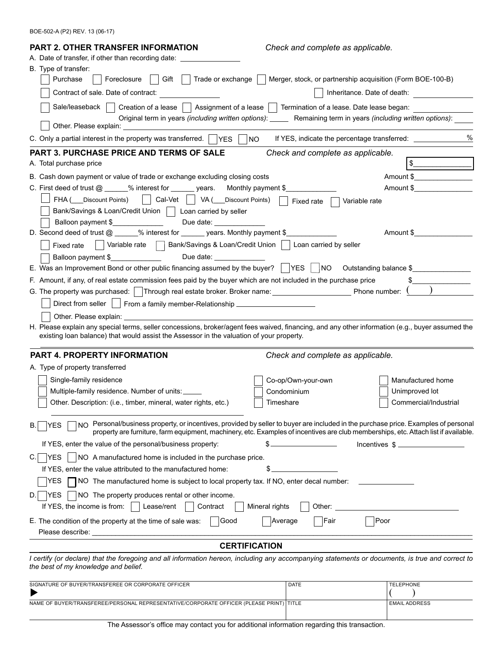BOE-502-A (P2) REV. 13 (06-17)

| <b>PART 2. OTHER TRANSFER INFORMATION</b>                                                                                                                                                                                                           | Check and complete as applicable.                                                                               |                             |
|-----------------------------------------------------------------------------------------------------------------------------------------------------------------------------------------------------------------------------------------------------|-----------------------------------------------------------------------------------------------------------------|-----------------------------|
| A. Date of transfer, if other than recording date: ___                                                                                                                                                                                              |                                                                                                                 |                             |
| B. Type of transfer:                                                                                                                                                                                                                                |                                                                                                                 |                             |
| Purchase<br>Gift    <br>Trade or exchange $\ \cdot\ $<br>Foreclosure                                                                                                                                                                                | Merger, stock, or partnership acquisition (Form BOE-100-B)                                                      |                             |
| Contract of sale. Date of contract:                                                                                                                                                                                                                 |                                                                                                                 | Inheritance. Date of death: |
| Sale/leaseback                                                                                                                                                                                                                                      | Creation of a lease $\vert$ Assignment of a lease $\vert$ Termination of a lease. Date lease began:             |                             |
|                                                                                                                                                                                                                                                     | Original term in years (including written options): ______ Remaining term in years (including written options): |                             |
| Other. Please explain:                                                                                                                                                                                                                              |                                                                                                                 |                             |
| C. Only a partial interest in the property was transferred. $\Box$ YES $\Box$                                                                                                                                                                       | $N$ O<br>If YES, indicate the percentage transferred:                                                           | $\%$                        |
| <b>PART 3. PURCHASE PRICE AND TERMS OF SALE</b>                                                                                                                                                                                                     | Check and complete as applicable.                                                                               |                             |
| A. Total purchase price                                                                                                                                                                                                                             |                                                                                                                 |                             |
| B. Cash down payment or value of trade or exchange excluding closing costs                                                                                                                                                                          |                                                                                                                 | Amount \$                   |
| C. First deed of trust @ _____% interest for ______ years. Monthly payment \$                                                                                                                                                                       |                                                                                                                 | Amount \$                   |
| FHA ( Discount Points) Cal-Vet VA ( Discount Points)                                                                                                                                                                                                | Variable rate<br>Fixed rate                                                                                     |                             |
| Bank/Savings & Loan/Credit Union     Loan carried by seller                                                                                                                                                                                         |                                                                                                                 |                             |
| Balloon payment \$<br>Due date: ______________                                                                                                                                                                                                      |                                                                                                                 |                             |
| D. Second deed of trust @ _____% interest for ______ years. Monthly payment \$_                                                                                                                                                                     |                                                                                                                 | Amount \$                   |
| Variable rate   Bank/Savings & Loan/Credit Union    <br>Fixed rate                                                                                                                                                                                  | Loan carried by seller                                                                                          |                             |
| Balloon payment \$<br>Due date: experience the property of the property of the state of the state of the state of the state of the state of the state of the state of the state of the state of the state of the state of the state of the state of |                                                                                                                 |                             |
| E. Was an Improvement Bond or other public financing assumed by the buyer? $\vert$ YES $\vert$ NO Outstanding balance \$                                                                                                                            |                                                                                                                 |                             |
| F. Amount, if any, of real estate commission fees paid by the buyer which are not included in the purchase price                                                                                                                                    |                                                                                                                 |                             |
| G. The property was purchased:   Through real estate broker. Broker name: __________________________ Phone number: (                                                                                                                                |                                                                                                                 |                             |
| Direct from seller     From a family member-Relationship _______________________                                                                                                                                                                    |                                                                                                                 |                             |
| Other. Please explain: The contract of the contract of the contract of the contract of the contract of the contract of the contract of the contract of the contract of the contract of the contract of the contract of the con                      |                                                                                                                 |                             |
| H. Please explain any special terms, seller concessions, broker/agent fees waived, financing, and any other information (e.g., buyer assumed the<br>existing loan balance) that would assist the Assessor in the valuation of your property.        |                                                                                                                 |                             |
|                                                                                                                                                                                                                                                     |                                                                                                                 |                             |
| PART 4. PROPERTY INFORMATION                                                                                                                                                                                                                        | Check and complete as applicable.                                                                               |                             |
| A. Type of property transferred                                                                                                                                                                                                                     |                                                                                                                 |                             |
| Single-family residence                                                                                                                                                                                                                             | Co-op/Own-your-own                                                                                              | Manufactured home           |
| Multiple-family residence. Number of units:                                                                                                                                                                                                         | Condominium                                                                                                     | Unimproved lot              |
| Other. Description: (i.e., timber, mineral, water rights, etc.)                                                                                                                                                                                     | Timeshare                                                                                                       | Commercial/Industrial       |
|                                                                                                                                                                                                                                                     |                                                                                                                 |                             |
| NO Personal/business property, or incentives, provided by seller to buyer are included in the purchase price. Examples of personal<br>YES<br>В.                                                                                                     |                                                                                                                 |                             |
| property are furniture, farm equipment, machinery, etc. Examples of incentives are club memberships, etc. Attach list if available.                                                                                                                 |                                                                                                                 |                             |
| If YES, enter the value of the personal/business property:                                                                                                                                                                                          | the control of the control of the control of<br>\$                                                              | Incentives $\frac{1}{2}$    |
| NO A manufactured home is included in the purchase price.<br><b>YES</b>                                                                                                                                                                             |                                                                                                                 |                             |
| If YES, enter the value attributed to the manufactured home:                                                                                                                                                                                        | \$.                                                                                                             |                             |
| □ NO The manufactured home is subject to local property tax. If NO, enter decal number:<br>YES                                                                                                                                                      |                                                                                                                 |                             |
| $\vert$ NO The property produces rental or other income.<br><b>IYES</b><br>D.                                                                                                                                                                       |                                                                                                                 |                             |
| If YES, the income is from: $\vert \ \vert$ Lease/rent<br>Contract                                                                                                                                                                                  | Mineral rights<br>Other:                                                                                        |                             |
| E. The condition of the property at the time of sale was:<br>Good                                                                                                                                                                                   | Poor<br>Fair<br>Average                                                                                         |                             |
|                                                                                                                                                                                                                                                     |                                                                                                                 |                             |
|                                                                                                                                                                                                                                                     | <b>CERTIFICATION</b>                                                                                            |                             |
| I certify (or declare) that the foregoing and all information hereon, including any accompanying statements or documents, is true and correct to<br>the best of my knowledge and belief.                                                            |                                                                                                                 |                             |
| SIGNATURE OF BUYER/TRANSFEREE OR CORPORATE OFFICER                                                                                                                                                                                                  | <b>DATE</b>                                                                                                     | <b>TELEPHONE</b>            |
| NAME OF BUYER/TRANSFEREE/PERSONAL REPRESENTATIVE/CORPORATE OFFICER (PLEASE PRINT)   TITLE                                                                                                                                                           |                                                                                                                 | <b>EMAIL ADDRESS</b>        |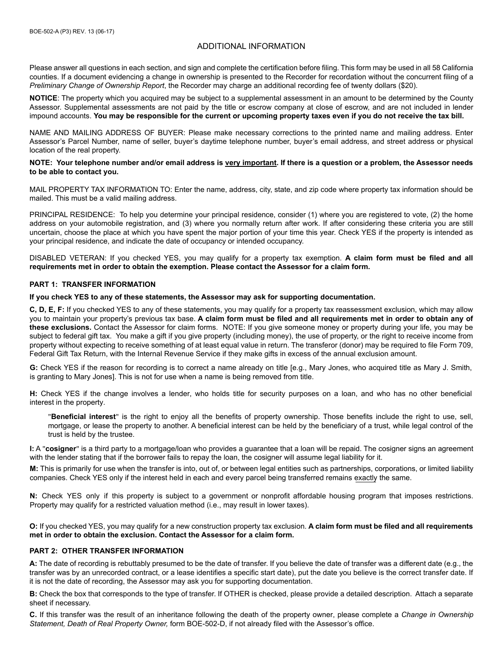# ADDITIONAL INFORMATION

Please answer all questions in each section, and sign and complete the certification before filing. This form may be used in all 58 California counties. If a document evidencing a change in ownership is presented to the Recorder for recordation without the concurrent filing of a *Preliminary Change of Ownership Report*, the Recorder may charge an additional recording fee of twenty dollars (\$20).

**NOTICE**: The property which you acquired may be subject to a supplemental assessment in an amount to be determined by the County Assessor. Supplemental assessments are not paid by the title or escrow company at close of escrow, and are not included in lender impound accounts. You may be responsible for the current or upcoming property taxes even if you do not receive the tax bill.

NAME AND MAILING ADDRESS OF BUYER: Please make necessary corrections to the printed name and mailing address. Enter Assessor's Parcel Number, name of seller, buyer's daytime telephone number, buyer's email address, and street address or physical location of the real property.

#### **NOTE: Your telephone number and/or email address is very important. If there is a question or a problem, the Assessor needs to be able to contact you.**

MAIL PROPERTY TAX INFORMATION TO: Enter the name, address, city, state, and zip code where property tax information should be mailed. This must be a valid mailing address.

PRINCIPAL RESIDENCE: To help you determine your principal residence, consider (1) where you are registered to vote, (2) the home address on your automobile registration, and (3) where you normally return after work. If after considering these criteria you are still uncertain, choose the place at which you have spent the major portion of your time this year. Check YES if the property is intended as your principal residence, and indicate the date of occupancy or intended occupancy.

DISABLED VETERAN: If you checked YES, you may qualify for a property tax exemption. A claim form must be filed and all **requirements met in order to obtain the exemption. Please contact the Assessor for a claim form.**

#### **PART 1: TRANSFER INFORMATION**

#### **If you check YES to any of these statements, the Assessor may ask for supporting documentation.**

**C, D, E, F:** If you checked YES to any of these statements, you may qualify for a property tax reassessment exclusion, which may allow you to maintain your property's previous tax base. A claim form must be filed and all requirements met in order to obtain any of **these exclusions.** Contact the Assessor for claim forms. NOTE: If you give someone money or property during your life, you may be subject to federal gift tax. You make a gift if you give property (including money), the use of property, or the right to receive income from property without expecting to receive something of at least equal value in return. The transferor (donor) may be required to file Form 709, Federal Gift Tax Return, with the Internal Revenue Service if they make gifts in excess of the annual exclusion amount.

**G:** Check YES if the reason for recording is to correct a name already on title [e.g., Mary Jones, who acquired title as Mary J. Smith, is granting to Mary Jones]. This is not for use when a name is being removed from title.

**H:** Check YES if the change involves a lender, who holds title for security purposes on a loan, and who has no other beneficial interest in the property.

"**Beneficial interest**" is the right to enjoy all the benefits of property ownership. Those benefits include the right to use, sell, mortgage, or lease the property to another. A beneficial interest can be held by the beneficiary of a trust, while legal control of the trust is held by the trustee.

**I:** A "cosigner" is a third party to a mortgage/loan who provides a quarantee that a loan will be repaid. The cosigner signs an agreement with the lender stating that if the borrower fails to repay the loan, the cosigner will assume legal liability for it.

M: This is primarily for use when the transfer is into, out of, or between legal entities such as partnerships, corporations, or limited liability companies. Check YES only if the interest held in each and every parcel being transferred remains exactly the same.

**N:** Check YES only if this property is subject to a government or nonprofit affordable housing program that imposes restrictions. Property may qualify for a restricted valuation method (i.e., may result in lower taxes).

**O:** If you checked YES, you may qualify for a new construction property tax exclusion. **A claim form must be filed and all requirements met in order to obtain the exclusion. Contact the Assessor for a claim form.**

## **PART 2: OTHER TRANSFER INFORMATION**

A: The date of recording is rebuttably presumed to be the date of transfer. If you believe the date of transfer was a different date (e.g., the transfer was by an unrecorded contract, or a lease identifies a specific start date), put the date you believe is the correct transfer date. If it is not the date of recording, the Assessor may ask you for supporting documentation.

**B:** Check the box that corresponds to the type of transfer. If OTHER is checked, please provide a detailed description. Attach a separate sheet if necessary.

**C.** If this transfer was the result of an inheritance following the death of the property owner, please complete a *Change in Ownership* Statement, Death of Real Property Owner, form BOE-502-D, if not already filed with the Assessor's office.